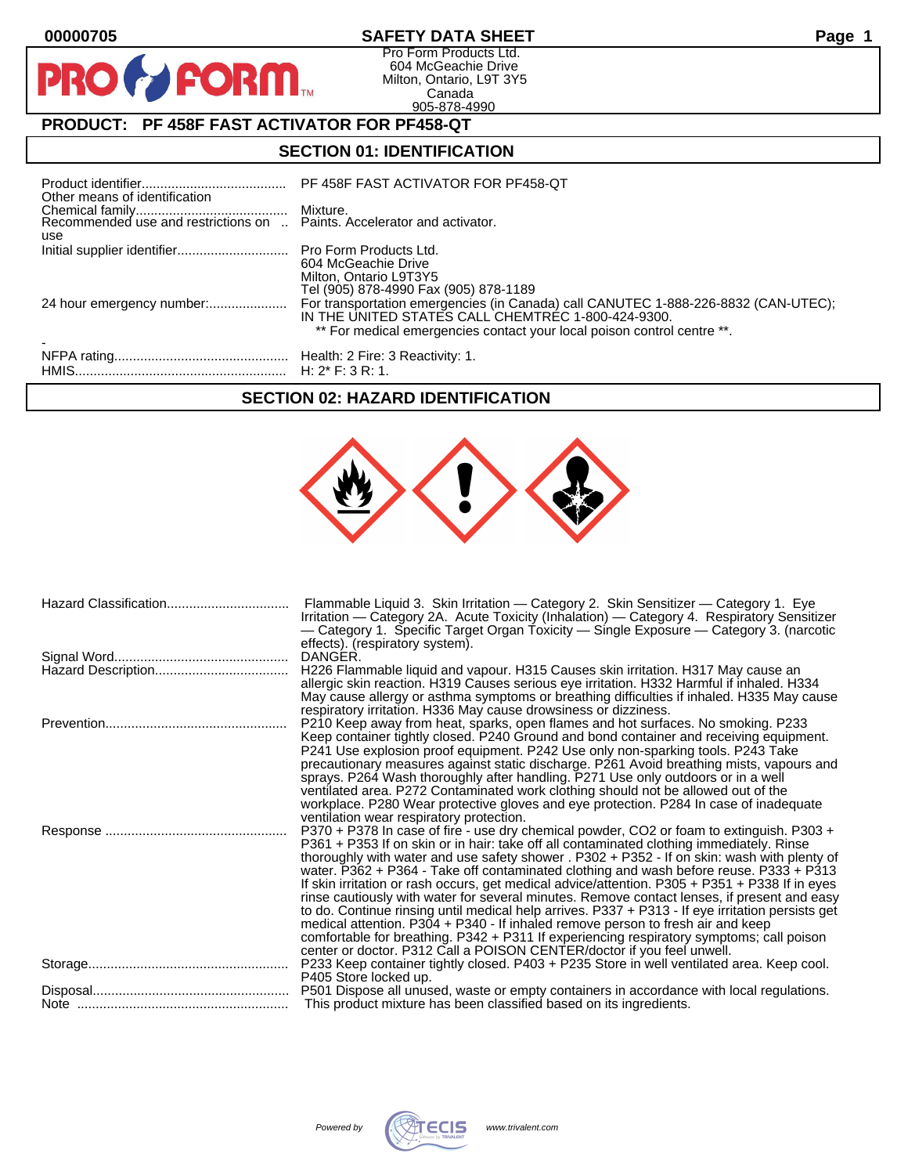PRO

### **00000705 SAFETY DATA SHEET Page 1**

Pro Form Products Ltd. 604 McGeachie Drive Milton, Ontario, L9T 3Y5 Canada 905-878-4990

# **PRODUCT: PF 458F FAST ACTIVATOR FOR PF458-QT**

**FORM.** 

#### **SECTION 01: IDENTIFICATION**

| Other means of identification | PF 458F FAST ACTIVATOR FOR PF458-QT                                                                                                                                                                                 |
|-------------------------------|---------------------------------------------------------------------------------------------------------------------------------------------------------------------------------------------------------------------|
| use                           |                                                                                                                                                                                                                     |
|                               | 604 McGeachie Drive<br>Milton, Ontario L9T3Y5<br>Tel (905) 878-4990 Fax (905) 878-1189                                                                                                                              |
| 24 hour emergency number:     | For transportation emergencies (in Canada) call CANUTEC 1-888-226-8832 (CAN-UTEC);<br>IN THE UNITED STATES CALL CHEMTREC 1-800-424-9300.<br>** For medical emergencies contact your local poison control centre **. |
|                               |                                                                                                                                                                                                                     |

#### **SECTION 02: HAZARD IDENTIFICATION**

| Hazard Classification | Flammable Liquid 3. Skin Irritation — Category 2. Skin Sensitizer — Category 1. Eye<br>Irritation — Category 2A. Acute Toxicity (Inhalation) — Category 4. Respiratory Sensitizer<br>— Category 1. Specific Target Organ Toxicity — Single Exposure — Category 3. (narcotic                                                                                                                                                                                                                                                                                                                                                                                                                                                                                                                                                                                                                                       |
|-----------------------|-------------------------------------------------------------------------------------------------------------------------------------------------------------------------------------------------------------------------------------------------------------------------------------------------------------------------------------------------------------------------------------------------------------------------------------------------------------------------------------------------------------------------------------------------------------------------------------------------------------------------------------------------------------------------------------------------------------------------------------------------------------------------------------------------------------------------------------------------------------------------------------------------------------------|
|                       | effects). (respiratory system).<br>DANGER.<br>H226 Flammable liquid and vapour. H315 Causes skin irritation. H317 May cause an<br>allergic skin reaction. H319 Causes serious eye irritation. H332 Harmful if inhaled. H334<br>May cause allergy or asthma symptoms or breathing difficulties if inhaled. H335 May cause                                                                                                                                                                                                                                                                                                                                                                                                                                                                                                                                                                                          |
|                       | respiratory irritation. H336 May cause drowsiness or dizziness.<br>P210 Keep away from heat, sparks, open flames and hot surfaces. No smoking. P233<br>Keep container tightly closed. P240 Ground and bond container and receiving equipment.<br>P241 Use explosion proof equipment. P242 Use only non-sparking tools. P243 Take<br>precautionary measures against static discharge. P261 Avoid breathing mists, vapours and<br>sprays. P264 Wash thoroughly after handling. P271 Use only outdoors or in a well<br>ventilated area. P272 Contaminated work clothing should not be allowed out of the<br>workplace. P280 Wear protective gloves and eye protection. P284 In case of inadequate                                                                                                                                                                                                                    |
|                       | ventilation wear respiratory protection.<br>P370 + P378 In case of fire - use dry chemical powder, CO2 or foam to extinguish. P303 +<br>P361 + P353 If on skin or in hair: take off all contaminated clothing immediately. Rinse<br>thoroughly with water and use safety shower . P302 + P352 - If on skin: wash with plenty of<br>water. $P362 + P364$ - Take off contaminated clothing and wash before reuse. $P333 + P313$<br>If skin irritation or rash occurs, get medical advice/attention. P305 + P351 + P338 If in eyes<br>rinse cautiously with water for several minutes. Remove contact lenses, if present and easy<br>to do. Continue rinsing until medical help arrives. P337 + P313 - If eye irritation persists get<br>medical attention. P304 + P340 - If inhaled remove person to fresh air and keep<br>comfortable for breathing. P342 + P311 If experiencing respiratory symptoms; call poison |
|                       | center or doctor. P312 Call a POISON CENTER/doctor if you feel unwell.<br>P233 Keep container tightly closed. P403 + P235 Store in well ventilated area. Keep cool.<br>P405 Store locked up.                                                                                                                                                                                                                                                                                                                                                                                                                                                                                                                                                                                                                                                                                                                      |
|                       | P501 Dispose all unused, waste or empty containers in accordance with local regulations.<br>This product mixture has been classified based on its ingredients.                                                                                                                                                                                                                                                                                                                                                                                                                                                                                                                                                                                                                                                                                                                                                    |
|                       |                                                                                                                                                                                                                                                                                                                                                                                                                                                                                                                                                                                                                                                                                                                                                                                                                                                                                                                   |

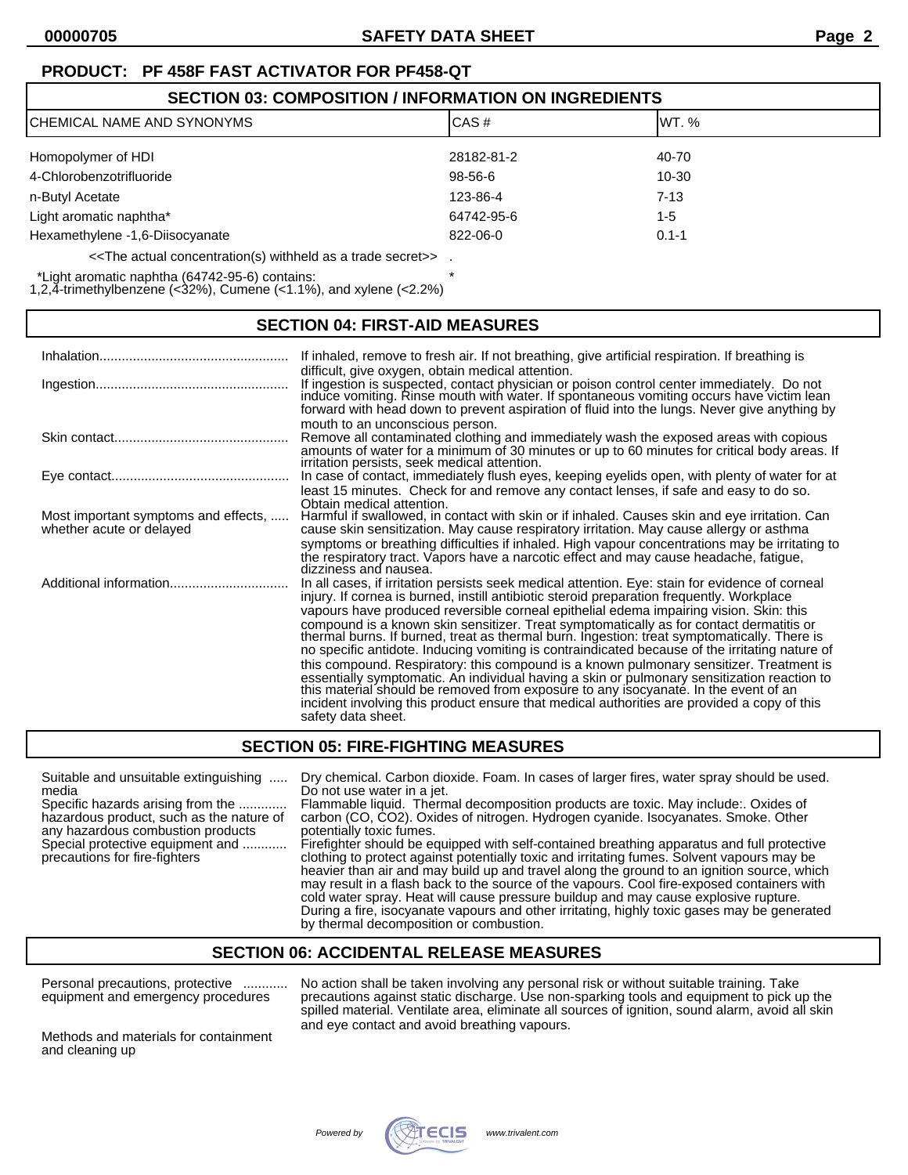# **PRODUCT: PF 458F FAST ACTIVATOR FOR PF458-QT**

| <b>SECTION 03: COMPOSITION / INFORMATION ON INGREDIENTS</b>                                |            |           |  |
|--------------------------------------------------------------------------------------------|------------|-----------|--|
| CAS#<br><b>ICHEMICAL NAME AND SYNONYMS</b><br>IWT. %                                       |            |           |  |
| Homopolymer of HDI                                                                         | 28182-81-2 | 40-70     |  |
| 4-Chlorobenzotrifluoride                                                                   | 98-56-6    | 10-30     |  |
| n-Butyl Acetate                                                                            | 123-86-4   | $7-13$    |  |
| Light aromatic naphtha*                                                                    | 64742-95-6 | $1 - 5$   |  |
| Hexamethylene -1,6-Diisocyanate                                                            | 822-06-0   | $0.1 - 1$ |  |
| < <the a="" actual="" as="" concentration(s)="" secret="" trade="" withheld="">&gt;.</the> |            |           |  |

\*Light aromatic naphtha (64742-95-6) contains: \*

1,2,4-trimethylbenzene ( $<32\%$ ), Cumene ( $<1.1\%$ ), and xylene ( $<2.2\%$ )

## **SECTION 04: FIRST-AID MEASURES**

|                                                                  | If inhaled, remove to fresh air. If not breathing, give artificial respiration. If breathing is                                                                                                                                                                                                                                                                                                                                                                                                                                                                                                                                                                                                                                                                                                                                                                                                                                                                                    |
|------------------------------------------------------------------|------------------------------------------------------------------------------------------------------------------------------------------------------------------------------------------------------------------------------------------------------------------------------------------------------------------------------------------------------------------------------------------------------------------------------------------------------------------------------------------------------------------------------------------------------------------------------------------------------------------------------------------------------------------------------------------------------------------------------------------------------------------------------------------------------------------------------------------------------------------------------------------------------------------------------------------------------------------------------------|
|                                                                  | difficult, give oxygen, obtain medical attention.<br>If ingestion is suspected, contact physician or poison control center immediately. Do not induce vomiting. Rinse mouth with water. If spontaneous vomiting occurs have victim lean<br>forward with head down to prevent aspiration of fluid into the lungs. Never give anything by                                                                                                                                                                                                                                                                                                                                                                                                                                                                                                                                                                                                                                            |
|                                                                  | mouth to an unconscious person.<br>Remove all contaminated clothing and immediately wash the exposed areas with copious<br>amounts of water for a minimum of 30 minutes or up to 60 minutes for critical body areas. If<br>irritation persists, seek medical attention.                                                                                                                                                                                                                                                                                                                                                                                                                                                                                                                                                                                                                                                                                                            |
|                                                                  | In case of contact, immediately flush eyes, keeping eyelids open, with plenty of water for at<br>least 15 minutes. Check for and remove any contact lenses, if safe and easy to do so.<br>Obtain medical attention.                                                                                                                                                                                                                                                                                                                                                                                                                                                                                                                                                                                                                                                                                                                                                                |
| Most important symptoms and effects,<br>whether acute or delayed | Harmful if swallowed, in contact with skin or if inhaled. Causes skin and eye irritation. Can<br>cause skin sensitization. May cause respiratory irritation. May cause allergy or asthma<br>symptoms or breathing difficulties if inhaled. High vapour concentrations may be irritating to<br>the respiratory tract. Vapors have a narcotic effect and may cause headache, fatigue,<br>dizziness and nausea.                                                                                                                                                                                                                                                                                                                                                                                                                                                                                                                                                                       |
| Additional information                                           | In all cases, if irritation persists seek medical attention. Eye: stain for evidence of corneal<br>injury. If cornea is burned, instill antibiotic steroid preparation frequently. Workplace<br>vapours have produced reversible corneal epithelial edema impairing vision. Skin: this<br>compound is a known skin sensitizer. Treat symptomatically as for contact dermatitis or thermal burns. If burned, treat as thermal burn. Ingestion: treat symptomatically. There is<br>no specific antidote. Inducing vomiting is contraindicated because of the irritating nature of<br>this compound. Respiratory: this compound is a known pulmonary sensitizer. Treatment is<br>essentially symptomatic. An individual having a skin or pulmonary sensitization reaction to this material should be removed from exposure to any isocyanate. In the event of an<br>incident involving this product ensure that medical authorities are provided a copy of this<br>safety data sheet. |

## **SECTION 05: FIRE-FIGHTING MEASURES**

media Do not use water in a jet.

any hazardous combustion products

Suitable and unsuitable extinguishing ..... Dry chemical. Carbon dioxide. Foam. In cases of larger fires, water spray should be used.

Specific hazards arising from the ............. Flammable liquid. Thermal decomposition products are toxic. May include:. Oxides of hazardous product, such as the nature of carbon (CO, CO2). Oxides of nitrogen. Hydrogen cyanide. Isocyanates. Smoke. Other Special protective equipment and ............ Firefighter should be equipped with self-contained breathing apparatus and full protective clothing to protect against potentially toxic and irritating fumes. Solvent vapours may be

heavier than air and may build up and travel along the ground to an ignition source, which may result in a flash back to the source of the vapours. Cool fire-exposed containers with cold water spray. Heat will cause pressure buildup and may cause explosive rupture. During a fire, isocyanate vapours and other irritating, highly toxic gases may be generated by thermal decomposition or combustion.

## **SECTION 06: ACCIDENTAL RELEASE MEASURES**

Personal precautions, protective ............ No action shall be taken involving any personal risk or without suitable training. Take equipment and emergency procedures precautions against static discharge. Use non-sparking tools and equipment to pick up the spilled material. Ventilate area, eliminate all sources of ignition, sound alarm, avoid all skin and eye contact and avoid breathing vapours.

Methods and materials for containment and cleaning up

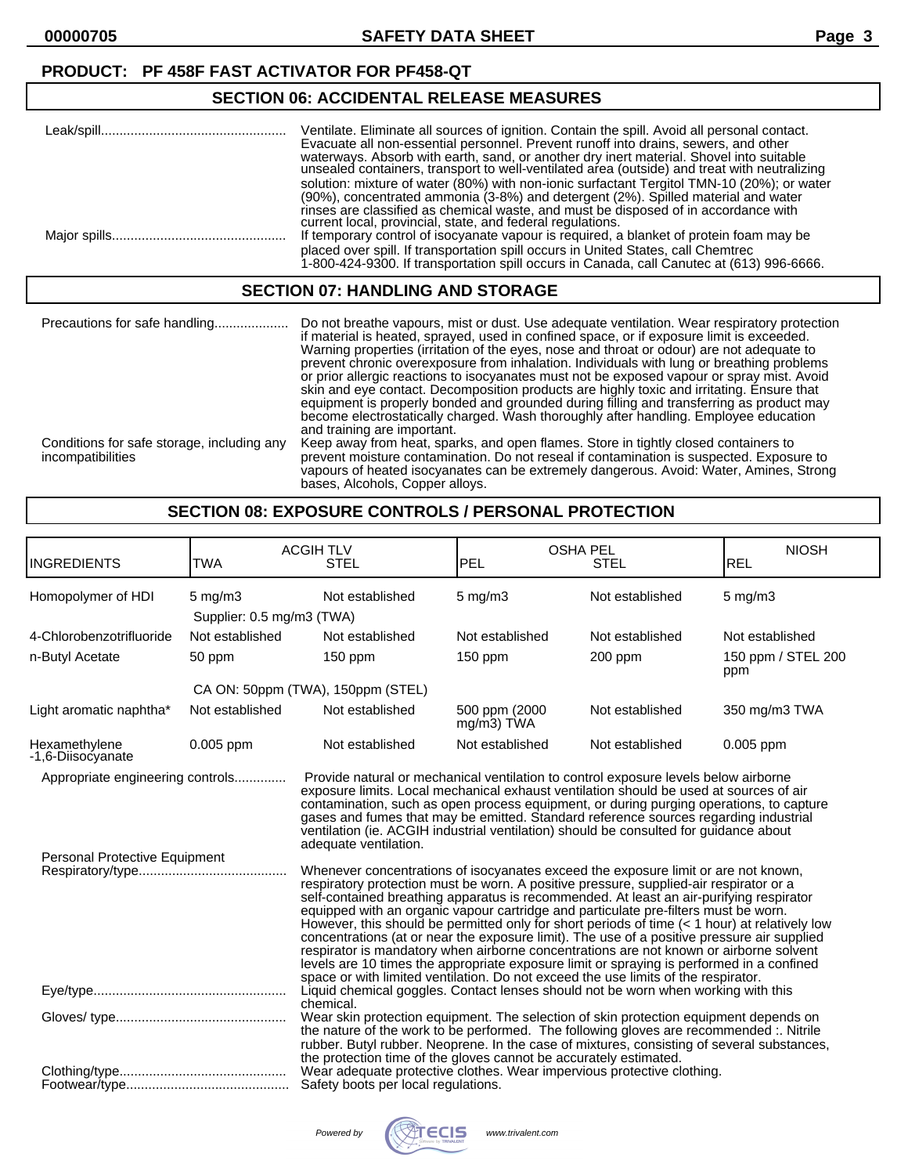#### **PRODUCT: PF 458F FAST ACTIVATOR FOR PF458-QT**

### **SECTION 06: ACCIDENTAL RELEASE MEASURES**

| Leak/spill. | Ventilate. Eliminate all sources of ignition. Contain the spill. Avoid all personal contact.<br>Evacuate all non-essential personnel. Prevent runoff into drains, sewers, and other<br>waterways. Absorb with earth, sand, or another dry inert material. Shovel into suitable<br>unsealed containers, transport to well-ventilated area (outside) and treat with neutralizing<br>solution: mixture of water (80%) with non-ionic surfactant Tergitol TMN-10 (20%); or water<br>(90%), concentrated ammonia (3-8%) and detergent (2%). Spilled material and water<br>rinses are classified as chemical waste, and must be disposed of in accordance with |
|-------------|----------------------------------------------------------------------------------------------------------------------------------------------------------------------------------------------------------------------------------------------------------------------------------------------------------------------------------------------------------------------------------------------------------------------------------------------------------------------------------------------------------------------------------------------------------------------------------------------------------------------------------------------------------|
|             | current local, provincial, state, and federal regulations.<br>If temporary control of isocyanate vapour is required, a blanket of protein foam may be<br>placed over spill. If transportation spill occurs in United States, call Chemtrec<br>1-800-424-9300. If transportation spill occurs in Canada, call Canutec at (613) 996-6666.                                                                                                                                                                                                                                                                                                                  |

#### **SECTION 07: HANDLING AND STORAGE**

| Precautions for safe handling                                   | Do not breathe vapours, mist or dust. Use adequate ventilation. Wear respiratory protection<br>if material is heated, sprayed, used in confined space, or if exposure limit is exceeded.<br>Warning properties (irritation of the eyes, nose and throat or odour) are not adequate to<br>prevent chronic overexposure from inhalation. Individuals with lung or breathing problems<br>or prior allergic reactions to isocyanates must not be exposed vapour or spray mist. Avoid<br>skin and eye contact. Decomposition products are highly toxic and irritating. Ensure that<br>equipment is properly bonded and grounded during filling and transferring as product may<br>become electrostatically charged. Wash thoroughly after handling. Employee education<br>and training are important. |
|-----------------------------------------------------------------|--------------------------------------------------------------------------------------------------------------------------------------------------------------------------------------------------------------------------------------------------------------------------------------------------------------------------------------------------------------------------------------------------------------------------------------------------------------------------------------------------------------------------------------------------------------------------------------------------------------------------------------------------------------------------------------------------------------------------------------------------------------------------------------------------|
| Conditions for safe storage, including any<br>incompatibilities | Keep away from heat, sparks, and open flames. Store in tightly closed containers to<br>prevent moisture contamination. Do not reseal if contamination is suspected. Exposure to<br>vapours of heated isocyanates can be extremely dangerous. Avoid: Water, Amines, Strong<br>bases, Alcohols, Copper alloys.                                                                                                                                                                                                                                                                                                                                                                                                                                                                                     |

#### **SECTION 08: EXPOSURE CONTROLS / PERSONAL PROTECTION**

| <b>INGREDIENTS</b>                                                | <b>TWA</b>                                      | <b>ACGIHTLV</b><br><b>STEL</b>                                                                                                                                                                                                                                                                                                                                                                                                                                                                                                                                                                                                                                                                                                                                                                                                                                                                                                                                                                                                                                                                                                                                                                                                              | <b>PEL</b>                     | <b>OSHA PEL</b><br><b>STEL</b> | <b>NIOSH</b><br><b>REL</b> |
|-------------------------------------------------------------------|-------------------------------------------------|---------------------------------------------------------------------------------------------------------------------------------------------------------------------------------------------------------------------------------------------------------------------------------------------------------------------------------------------------------------------------------------------------------------------------------------------------------------------------------------------------------------------------------------------------------------------------------------------------------------------------------------------------------------------------------------------------------------------------------------------------------------------------------------------------------------------------------------------------------------------------------------------------------------------------------------------------------------------------------------------------------------------------------------------------------------------------------------------------------------------------------------------------------------------------------------------------------------------------------------------|--------------------------------|--------------------------------|----------------------------|
| Homopolymer of HDI                                                | $5 \text{ mg/m}$ 3<br>Supplier: 0.5 mg/m3 (TWA) | Not established                                                                                                                                                                                                                                                                                                                                                                                                                                                                                                                                                                                                                                                                                                                                                                                                                                                                                                                                                                                                                                                                                                                                                                                                                             | $5$ mg/m $3$                   | Not established                | $5$ mg/m $3$               |
| 4-Chlorobenzotrifluoride                                          | Not established                                 | Not established                                                                                                                                                                                                                                                                                                                                                                                                                                                                                                                                                                                                                                                                                                                                                                                                                                                                                                                                                                                                                                                                                                                                                                                                                             | Not established                | Not established                | Not established            |
| n-Butyl Acetate                                                   | 50 ppm                                          | 150 ppm                                                                                                                                                                                                                                                                                                                                                                                                                                                                                                                                                                                                                                                                                                                                                                                                                                                                                                                                                                                                                                                                                                                                                                                                                                     | $150$ ppm                      | 200 ppm                        | 150 ppm / STEL 200<br>ppm  |
|                                                                   |                                                 | CA ON: 50ppm (TWA), 150ppm (STEL)                                                                                                                                                                                                                                                                                                                                                                                                                                                                                                                                                                                                                                                                                                                                                                                                                                                                                                                                                                                                                                                                                                                                                                                                           |                                |                                |                            |
| Light aromatic naphtha*                                           | Not established                                 | Not established                                                                                                                                                                                                                                                                                                                                                                                                                                                                                                                                                                                                                                                                                                                                                                                                                                                                                                                                                                                                                                                                                                                                                                                                                             | 500 ppm (2000<br>$mg/m3$ ) TWA | Not established                | 350 mg/m3 TWA              |
| Hexamethylene<br>-1,6-Diisocyanate                                | 0.005 ppm                                       | Not established                                                                                                                                                                                                                                                                                                                                                                                                                                                                                                                                                                                                                                                                                                                                                                                                                                                                                                                                                                                                                                                                                                                                                                                                                             | Not established                | Not established                | 0.005 ppm                  |
| Appropriate engineering controls<br>Personal Protective Equipment |                                                 | Provide natural or mechanical ventilation to control exposure levels below airborne<br>exposure limits. Local mechanical exhaust ventilation should be used at sources of air<br>contamination, such as open process equipment, or during purging operations, to capture<br>gases and fumes that may be emitted. Standard reference sources regarding industrial<br>ventilation (ie. ACGIH industrial ventilation) should be consulted for guidance about<br>adequate ventilation.<br>Whenever concentrations of isocyanates exceed the exposure limit or are not known,<br>respiratory protection must be worn. A positive pressure, supplied-air respirator or a<br>self-contained breathing apparatus is recommended. At least an air-purifying respirator<br>equipped with an organic vapour cartridge and particulate pre-filters must be worn.<br>However, this should be permitted only for short periods of time (< 1 hour) at relatively low<br>concentrations (at or near the exposure limit). The use of a positive pressure air supplied<br>respirator is mandatory when airborne concentrations are not known or airborne solvent<br>levels are 10 times the appropriate exposure limit or spraying is performed in a confined |                                |                                |                            |
|                                                                   |                                                 | space or with limited ventilation. Do not exceed the use limits of the respirator.<br>Liquid chemical goggles. Contact lenses should not be worn when working with this<br>chemical.                                                                                                                                                                                                                                                                                                                                                                                                                                                                                                                                                                                                                                                                                                                                                                                                                                                                                                                                                                                                                                                        |                                |                                |                            |
|                                                                   |                                                 | Wear skin protection equipment. The selection of skin protection equipment depends on<br>the nature of the work to be performed. The following gloves are recommended :. Nitrile<br>rubber. Butyl rubber. Neoprene. In the case of mixtures, consisting of several substances,<br>the protection time of the gloves cannot be accurately estimated.<br>Wear adequate protective clothes. Wear impervious protective clothing.                                                                                                                                                                                                                                                                                                                                                                                                                                                                                                                                                                                                                                                                                                                                                                                                               |                                |                                |                            |
|                                                                   |                                                 | Safety boots per local regulations.                                                                                                                                                                                                                                                                                                                                                                                                                                                                                                                                                                                                                                                                                                                                                                                                                                                                                                                                                                                                                                                                                                                                                                                                         |                                |                                |                            |

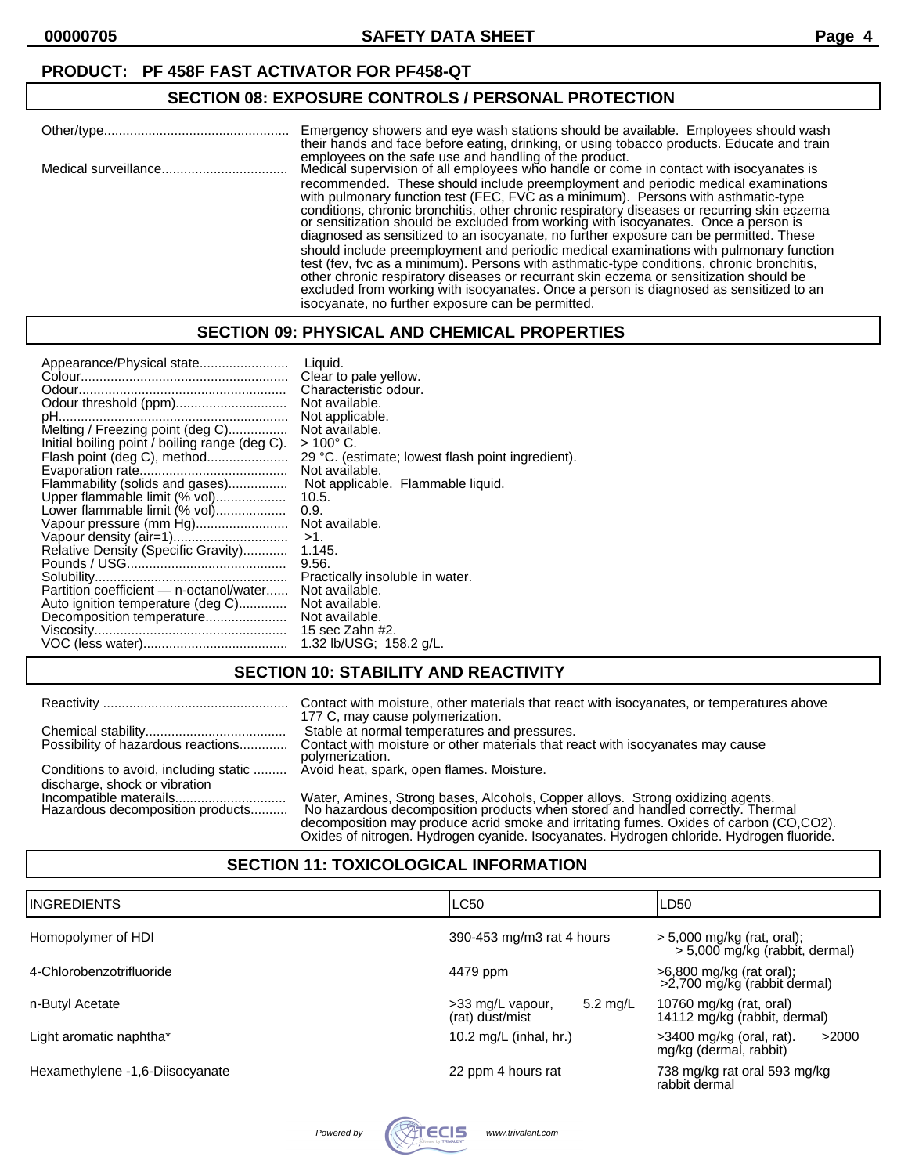#### **PRODUCT: PF 458F FAST ACTIVATOR FOR PF458-QT**

### **SECTION 08: EXPOSURE CONTROLS / PERSONAL PROTECTION**

| Emergency showers and eye wash stations should be available. Employees should wash<br>their hands and face before eating, drinking, or using tobacco products. Educate and train                                                                                                                                                                                                                                                                                                                                                                                                                          |
|-----------------------------------------------------------------------------------------------------------------------------------------------------------------------------------------------------------------------------------------------------------------------------------------------------------------------------------------------------------------------------------------------------------------------------------------------------------------------------------------------------------------------------------------------------------------------------------------------------------|
| employees on the safe use and handling of the product.<br>Medical supervision of all employees who handle or come in contact with isocyanates is<br>recommended. These should include preemployment and periodic medical examinations<br>with pulmonary function test (FEC, FVC as a minimum). Persons with asthmatic-type<br>conditions, chronic bronchitis, other chronic respiratory diseases or recurring skin eczema<br>or sensitization should be excluded from working with isocyanates. Once a person is<br>diagnosed as sensitized to an isocyanate, no further exposure can be permitted. These |
| should include preemployment and periodic medical examinations with pulmonary function<br>test (fev, fyc as a minimum). Persons with asthmatic-type conditions, chronic bronchitis,<br>other chronic respiratory diseases or recurrant skin eczema or sensitization should be<br>excluded from working with isocyanates. Once a person is diagnosed as sensitized to an<br>isocyanate, no further exposure can be permitted.                                                                                                                                                                              |

### **SECTION 09: PHYSICAL AND CHEMICAL PROPERTIES**

| Appearance/Physical state                      | Liauid.                                           |
|------------------------------------------------|---------------------------------------------------|
|                                                | Clear to pale yellow.                             |
|                                                | Characteristic odour.                             |
| Odour threshold (ppm)                          | Not available.                                    |
|                                                | Not applicable.                                   |
| Melting / Freezing point (deg C)               | Not available.                                    |
| Initial boiling point / boiling range (deg C). | $>$ 100 $^{\circ}$ C.                             |
| Flash point (deg C), method                    | 29 °C. (estimate; lowest flash point ingredient). |
|                                                | Not available.                                    |
| Flammability (solids and gases)                | Not applicable. Flammable liquid.                 |
| Upper flammable limit (% vol)                  | 10.5.                                             |
| Lower flammable limit (% vol)                  | 0.9.                                              |
| Vapour pressure (mm Hg)                        | Not available.                                    |
|                                                | $>1$ .                                            |
| Relative Density (Specific Gravity)            | 1.145.                                            |
|                                                | 9.56.                                             |
|                                                | Practically insoluble in water.                   |
| Partition coefficient - n-octanol/water        | Not available.                                    |
| Auto ignition temperature (deg C)              | Not available.                                    |
| Decomposition temperature                      | Not available.                                    |
|                                                | 15 sec Zahn #2.                                   |
|                                                |                                                   |
|                                                | 1.32 lb/USG; 158.2 g/L.                           |

### **SECTION 10: STABILITY AND REACTIVITY**

|                                                                                                                   | Contact with moisture, other materials that react with isocyanates, or temperatures above<br>177 C, may cause polymerization.                                                                                                                                                                                                                          |
|-------------------------------------------------------------------------------------------------------------------|--------------------------------------------------------------------------------------------------------------------------------------------------------------------------------------------------------------------------------------------------------------------------------------------------------------------------------------------------------|
|                                                                                                                   | Stable at normal temperatures and pressures.                                                                                                                                                                                                                                                                                                           |
| Possibility of hazardous reactions                                                                                | Contact with moisture or other materials that react with isocyanates may cause<br>polymerization.                                                                                                                                                                                                                                                      |
| Conditions to avoid, including static  Avoid heat, spark, open flames. Moisture.<br>discharge, shock or vibration |                                                                                                                                                                                                                                                                                                                                                        |
| Hazardous decomposition products                                                                                  | Water, Amines, Strong bases, Alcohols, Copper alloys. Strong oxidizing agents.<br>No hazardous decomposition products when stored and handled correctly. Thermal<br>decomposition may produce acrid smoke and irritating fumes. Oxides of carbon (CO,CO2).<br>Oxides of nitrogen. Hydrogen cyanide. Isocyanates. Hydrogen chloride. Hydrogen fluoride. |

### **SECTION 11: TOXICOLOGICAL INFORMATION**

| <b>I</b> INGREDIENTS            | LC50                                                      | LD50                                                             |
|---------------------------------|-----------------------------------------------------------|------------------------------------------------------------------|
| Homopolymer of HDI              | 390-453 mg/m3 rat 4 hours                                 | $>$ 5,000 mg/kg (rat, oral);<br>$> 5,000$ mg/kg (rabbit, dermal) |
| 4-Chlorobenzotrifluoride        | 4479 ppm                                                  | >6,800 mg/kg (rat oral);<br>>2,700 mg/kg (rabbit dermal)         |
| n-Butyl Acetate                 | $5.2 \text{ mg/L}$<br>>33 mg/L vapour,<br>(rat) dust/mist | 10760 mg/kg (rat, oral)<br>14112 mg/kg (rabbit, dermal)          |
| Light aromatic naphtha*         | 10.2 mg/L (inhal, hr.)                                    | $>3400$ mg/kg (oral, rat).<br>>2000<br>mg/kg (dermal, rabbit)    |
| Hexamethylene -1,6-Diisocyanate | 22 ppm 4 hours rat                                        | 738 mg/kg rat oral 593 mg/kg<br>rabbit dermal                    |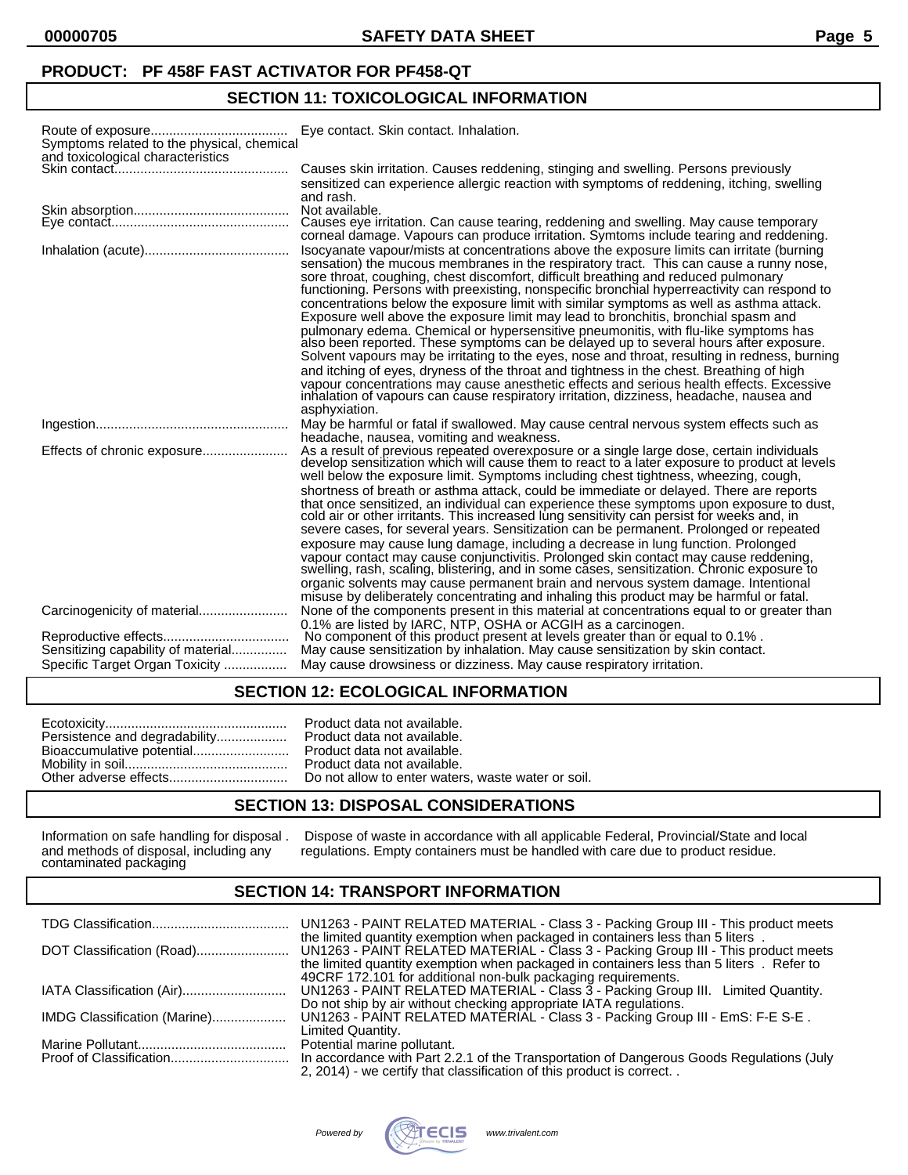### **PRODUCT: PF 458F FAST ACTIVATOR FOR PF458-QT**

## **SECTION 11: TOXICOLOGICAL INFORMATION**

| Symptoms related to the physical, chemical<br>and toxicological characteristics | Eye contact. Skin contact. Inhalation.                                                                                                                                                                                                                                                                                                                                                                                                                                                                                                                                                                                                                                                                                                                                                                                                                                                                                                                                                                                                                                                                                                         |
|---------------------------------------------------------------------------------|------------------------------------------------------------------------------------------------------------------------------------------------------------------------------------------------------------------------------------------------------------------------------------------------------------------------------------------------------------------------------------------------------------------------------------------------------------------------------------------------------------------------------------------------------------------------------------------------------------------------------------------------------------------------------------------------------------------------------------------------------------------------------------------------------------------------------------------------------------------------------------------------------------------------------------------------------------------------------------------------------------------------------------------------------------------------------------------------------------------------------------------------|
|                                                                                 | Causes skin irritation. Causes reddening, stinging and swelling. Persons previously<br>sensitized can experience allergic reaction with symptoms of reddening, itching, swelling<br>and rash.                                                                                                                                                                                                                                                                                                                                                                                                                                                                                                                                                                                                                                                                                                                                                                                                                                                                                                                                                  |
|                                                                                 | corneal damage. Vapours can produce irritation. Symtoms include tearing and reddening.                                                                                                                                                                                                                                                                                                                                                                                                                                                                                                                                                                                                                                                                                                                                                                                                                                                                                                                                                                                                                                                         |
|                                                                                 | Isocyanate vapour/mists at concentrations above the exposure limits can irritate (burning<br>sensation) the mucous membranes in the respiratory tract. This can cause a runny nose,<br>sore throat, coughing, chest discomfort, difficult breathing and reduced pulmonary<br>functioning. Persons with preexisting, nonspecific bronchial hyperreactivity can respond to<br>concentrations below the exposure limit with similar symptoms as well as asthma attack.<br>Exposure well above the exposure limit may lead to bronchitis, bronchial spasm and<br>pulmonary edema. Chemical or hypersensitive pneumonitis, with flu-like symptoms has<br>also been reported. These symptoms can be delayed up to several hours after exposure.<br>Solvent vapours may be irritating to the eyes, nose and throat, resulting in redness, burning<br>and itching of eyes, dryness of the throat and tightness in the chest. Breathing of high<br>vapour concentrations may cause anesthetic effects and serious health effects. Excessive<br>inhalation of vapours can cause respiratory irritation, dizziness, headache, nausea and<br>asphyxiation. |
|                                                                                 | May be harmful or fatal if swallowed. May cause central nervous system effects such as                                                                                                                                                                                                                                                                                                                                                                                                                                                                                                                                                                                                                                                                                                                                                                                                                                                                                                                                                                                                                                                         |
|                                                                                 | headache, nausea, vomiting and weakness.<br>As a result of previous repeated overexposure or a single large dose, certain individuals<br>develop sensitization which will cause them to react to a later exposure to product at levels<br>well below the exposure limit. Symptoms including chest tightness, wheezing, cough,                                                                                                                                                                                                                                                                                                                                                                                                                                                                                                                                                                                                                                                                                                                                                                                                                  |
|                                                                                 | shortness of breath or asthma attack, could be immediate or delayed. There are reports<br>that once sensitized, an individual can experience these symptoms upon exposure to dust, cold air or other irritants. This increased lung sensitivity can persist for weeks and, in<br>severe cases, for several years. Sensitization can be permanent. Prolonged or repeated<br>exposure may cause lung damage, including a decrease in lung function. Prolonged<br>vapour contact may cause conjunctivitis. Prolonged skin contact may cause reddening,<br>swelling, rash, scaling, blistering, and in some cases, sensitization. Chronic exposure to<br>organic solvents may cause permanent brain and nervous system damage. Intentional<br>misuse by deliberately concentrating and inhaling this product may be harmful or fatal.                                                                                                                                                                                                                                                                                                              |
|                                                                                 | None of the components present in this material at concentrations equal to or greater than                                                                                                                                                                                                                                                                                                                                                                                                                                                                                                                                                                                                                                                                                                                                                                                                                                                                                                                                                                                                                                                     |
| Sensitizing capability of material<br>Specific Target Organ Toxicity            | 0.1% are listed by IARC, NTP, OSHA or ACGIH as a carcinogen.<br>No component of this product present at levels greater than or equal to 0.1%.<br>May cause sensitization by inhalation. May cause sensitization by skin contact.<br>May cause drowsiness or dizziness. May cause respiratory irritation.                                                                                                                                                                                                                                                                                                                                                                                                                                                                                                                                                                                                                                                                                                                                                                                                                                       |

#### **SECTION 12: ECOLOGICAL INFORMATION**

| Product data not available. |
|-----------------------------|
|                             |

#### **SECTION 13: DISPOSAL CONSIDERATIONS**

and methods of disposal, including any<br>contaminated packaging

Information on safe handling for disposal . Dispose of waste in accordance with all applicable Federal, Provincial/State and local regulations. Empty containers must be handled with care due to product residue.

#### **SECTION 14: TRANSPORT INFORMATION**

|                              | UN1263 - PAINT RELATED MATERIAL - Class 3 - Packing Group III - This product meets       |
|------------------------------|------------------------------------------------------------------------------------------|
|                              | the limited quantity exemption when packaged in containers less than 5 liters.           |
|                              |                                                                                          |
|                              | the limited quantity exemption when packaged in containers less than 5 liters . Refer to |
|                              | 49CRF 172.101 for additional non-bulk packaging requirements.                            |
|                              | UN1263 - PAINT RELATED MATERIAL - Class 3 - Packing Group III. Limited Quantity.         |
|                              | Do not ship by air without checking appropriate IATA regulations.                        |
| IMDG Classification (Marine) | UN1263 - PAINT RELATED MATERIAL - Class 3 - Packing Group III - EmS: F-E S-E.            |
|                              | Limited Quantity.                                                                        |
|                              | Potential marine pollutant.                                                              |
|                              | In accordance with Part 2.2.1 of the Transportation of Dangerous Goods Regulations (July |
|                              | 2, 2014) - we certify that classification of this product is correct                     |